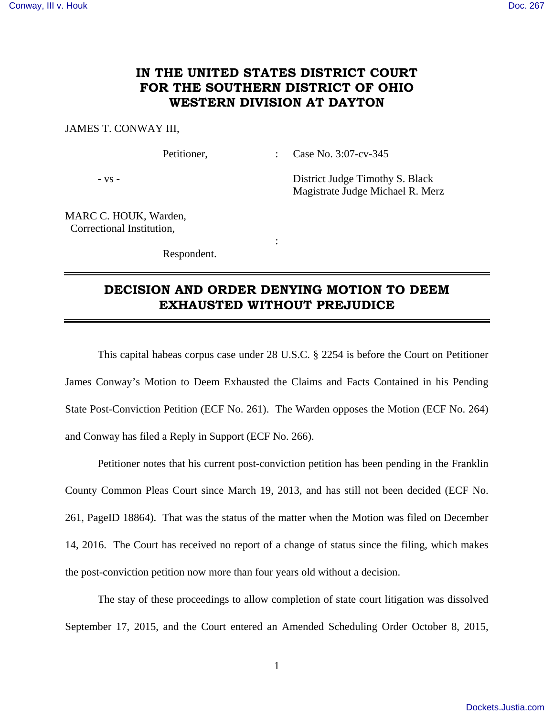## **IN THE UNITED STATES DISTRICT COURT FOR THE SOUTHERN DISTRICT OF OHIO WESTERN DIVISION AT DAYTON**

## JAMES T. CONWAY III,

Petitioner, : Case No. 3:07-cv-345

- vs - District Judge Timothy S. Black Magistrate Judge Michael R. Merz

MARC C. HOUK, Warden, Correctional Institution,

Respondent.

**Service State State State** 

## **DECISION AND ORDER DENYING MOTION TO DEEM EXHAUSTED WITHOUT PREJUDICE**

 This capital habeas corpus case under 28 U.S.C. § 2254 is before the Court on Petitioner James Conway's Motion to Deem Exhausted the Claims and Facts Contained in his Pending State Post-Conviction Petition (ECF No. 261). The Warden opposes the Motion (ECF No. 264) and Conway has filed a Reply in Support (ECF No. 266).

 Petitioner notes that his current post-conviction petition has been pending in the Franklin County Common Pleas Court since March 19, 2013, and has still not been decided (ECF No. 261, PageID 18864). That was the status of the matter when the Motion was filed on December 14, 2016. The Court has received no report of a change of status since the filing, which makes the post-conviction petition now more than four years old without a decision.

 The stay of these proceedings to allow completion of state court litigation was dissolved September 17, 2015, and the Court entered an Amended Scheduling Order October 8, 2015,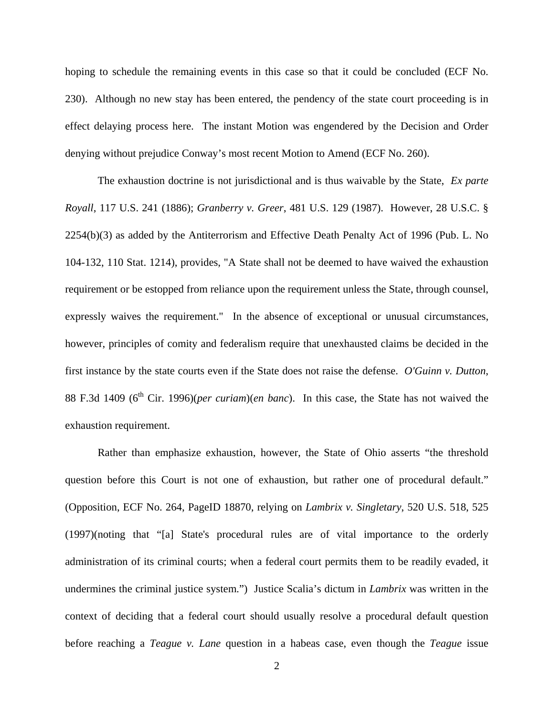hoping to schedule the remaining events in this case so that it could be concluded (ECF No. 230). Although no new stay has been entered, the pendency of the state court proceeding is in effect delaying process here. The instant Motion was engendered by the Decision and Order denying without prejudice Conway's most recent Motion to Amend (ECF No. 260).

 The exhaustion doctrine is not jurisdictional and is thus waivable by the State, *Ex parte Royall*, 117 U.S. 241 (1886); *Granberry v. Greer*, 481 U.S. 129 (1987). However, 28 U.S.C. § 2254(b)(3) as added by the Antiterrorism and Effective Death Penalty Act of 1996 (Pub. L. No 104-132, 110 Stat. 1214), provides, "A State shall not be deemed to have waived the exhaustion requirement or be estopped from reliance upon the requirement unless the State, through counsel, expressly waives the requirement." In the absence of exceptional or unusual circumstances, however, principles of comity and federalism require that unexhausted claims be decided in the first instance by the state courts even if the State does not raise the defense. *O'Guinn v. Dutton*, 88 F.3d 1409 (6<sup>th</sup> Cir. 1996)(*per curiam*)(*en banc*). In this case, the State has not waived the exhaustion requirement.

 Rather than emphasize exhaustion, however, the State of Ohio asserts "the threshold question before this Court is not one of exhaustion, but rather one of procedural default." (Opposition, ECF No. 264, PageID 18870, relying on *Lambrix v. Singletary*, 520 U.S. 518, 525 (1997)(noting that "[a] State's procedural rules are of vital importance to the orderly administration of its criminal courts; when a federal court permits them to be readily evaded, it undermines the criminal justice system.") Justice Scalia's dictum in *Lambrix* was written in the context of deciding that a federal court should usually resolve a procedural default question before reaching a *Teague v. Lane* question in a habeas case, even though the *Teague* issue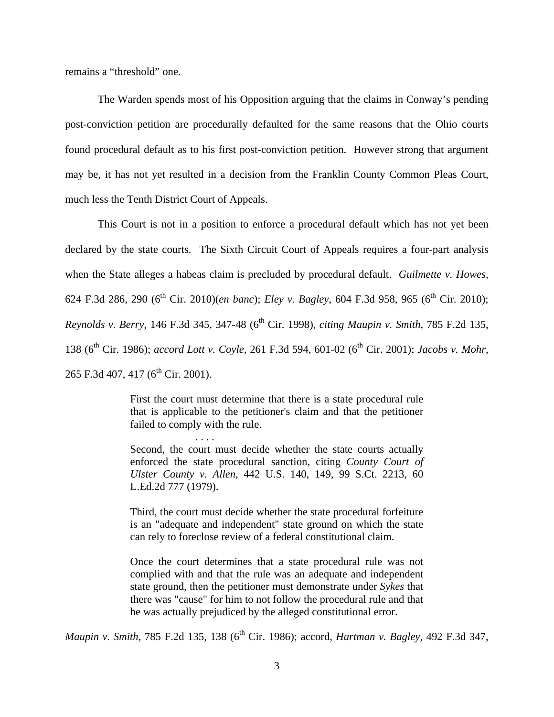remains a "threshold" one.

 The Warden spends most of his Opposition arguing that the claims in Conway's pending post-conviction petition are procedurally defaulted for the same reasons that the Ohio courts found procedural default as to his first post-conviction petition. However strong that argument may be, it has not yet resulted in a decision from the Franklin County Common Pleas Court, much less the Tenth District Court of Appeals.

 This Court is not in a position to enforce a procedural default which has not yet been declared by the state courts. The Sixth Circuit Court of Appeals requires a four-part analysis when the State alleges a habeas claim is precluded by procedural default. *Guilmette v. Howes,* 624 F.3d 286, 290 (6th Cir. 2010)(*en banc*); *Eley v. Bagley*, 604 F.3d 958, 965 (6th Cir. 2010); *Reynolds v. Berry*, 146 F.3d 345, 347-48 (6<sup>th</sup> Cir. 1998), *citing Maupin v. Smith*, 785 F.2d 135, 138 (6<sup>th</sup> Cir. 1986); *accord Lott v. Coyle*, 261 F.3d 594, 601-02 (6<sup>th</sup> Cir. 2001); *Jacobs v. Mohr*, 265 F.3d 407, 417 ( $6^{th}$  Cir. 2001).

> First the court must determine that there is a state procedural rule that is applicable to the petitioner's claim and that the petitioner failed to comply with the rule.

> > . . . .

Second, the court must decide whether the state courts actually enforced the state procedural sanction, citing *County Court of Ulster County v. Allen*, 442 U.S. 140, 149, 99 S.Ct. 2213, 60 L.Ed.2d 777 (1979).

Third, the court must decide whether the state procedural forfeiture is an "adequate and independent" state ground on which the state can rely to foreclose review of a federal constitutional claim.

Once the court determines that a state procedural rule was not complied with and that the rule was an adequate and independent state ground, then the petitioner must demonstrate under *Sykes* that there was "cause" for him to not follow the procedural rule and that he was actually prejudiced by the alleged constitutional error.

*Maupin v. Smith, 785 F.2d 135, 138 (6<sup>th</sup> Cir. 1986); accord, <i>Hartman v. Bagley, 492 F.3d 347,*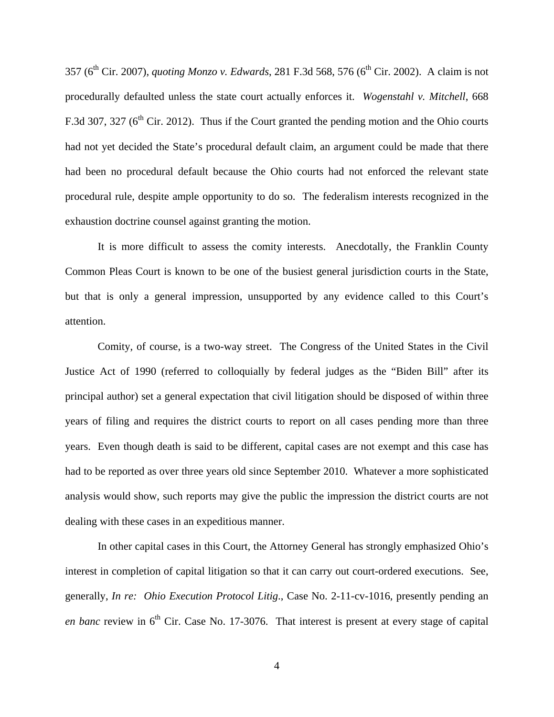357 (6th Cir. 2007), *quoting Monzo v. Edwards*, 281 F.3d 568, 576 (6th Cir. 2002). A claim is not procedurally defaulted unless the state court actually enforces it. *Wogenstahl v. Mitchell*, 668 F.3d 307, 327 ( $6<sup>th</sup>$  Cir. 2012). Thus if the Court granted the pending motion and the Ohio courts had not yet decided the State's procedural default claim, an argument could be made that there had been no procedural default because the Ohio courts had not enforced the relevant state procedural rule, despite ample opportunity to do so. The federalism interests recognized in the exhaustion doctrine counsel against granting the motion.

 It is more difficult to assess the comity interests. Anecdotally, the Franklin County Common Pleas Court is known to be one of the busiest general jurisdiction courts in the State, but that is only a general impression, unsupported by any evidence called to this Court's attention.

 Comity, of course, is a two-way street. The Congress of the United States in the Civil Justice Act of 1990 (referred to colloquially by federal judges as the "Biden Bill" after its principal author) set a general expectation that civil litigation should be disposed of within three years of filing and requires the district courts to report on all cases pending more than three years. Even though death is said to be different, capital cases are not exempt and this case has had to be reported as over three years old since September 2010. Whatever a more sophisticated analysis would show, such reports may give the public the impression the district courts are not dealing with these cases in an expeditious manner.

 In other capital cases in this Court, the Attorney General has strongly emphasized Ohio's interest in completion of capital litigation so that it can carry out court-ordered executions. See, generally, *In re: Ohio Execution Protocol Litig*., Case No. 2-11-cv-1016, presently pending an *en banc* review in  $6<sup>th</sup>$  Cir. Case No. 17-3076. That interest is present at every stage of capital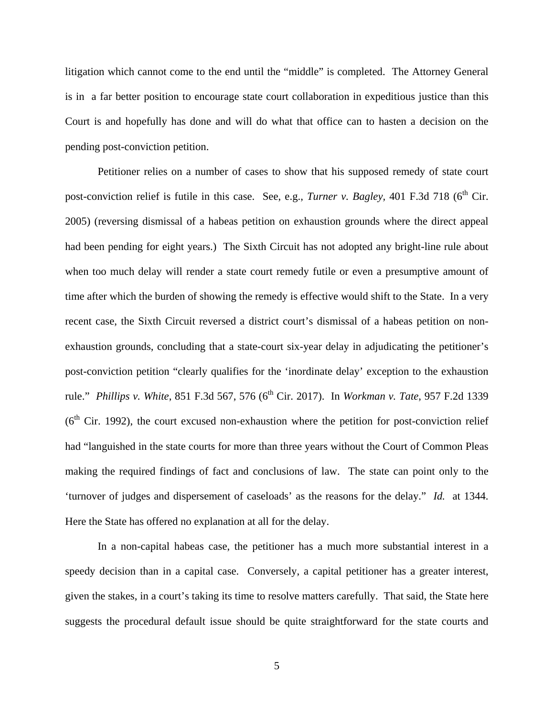litigation which cannot come to the end until the "middle" is completed. The Attorney General is in a far better position to encourage state court collaboration in expeditious justice than this Court is and hopefully has done and will do what that office can to hasten a decision on the pending post-conviction petition.

 Petitioner relies on a number of cases to show that his supposed remedy of state court post-conviction relief is futile in this case. See, e.g., *Turner v. Bagley*, 401 F.3d 718 (6<sup>th</sup> Cir. 2005) (reversing dismissal of a habeas petition on exhaustion grounds where the direct appeal had been pending for eight years.) The Sixth Circuit has not adopted any bright-line rule about when too much delay will render a state court remedy futile or even a presumptive amount of time after which the burden of showing the remedy is effective would shift to the State. In a very recent case, the Sixth Circuit reversed a district court's dismissal of a habeas petition on nonexhaustion grounds, concluding that a state-court six-year delay in adjudicating the petitioner's post-conviction petition "clearly qualifies for the 'inordinate delay' exception to the exhaustion rule." *Phillips v. White*, 851 F.3d 567, 576 (6<sup>th</sup> Cir. 2017). In *Workman v. Tate*, 957 F.2d 1339  $(6<sup>th</sup> Cir. 1992)$ , the court excused non-exhaustion where the petition for post-conviction relief had "languished in the state courts for more than three years without the Court of Common Pleas making the required findings of fact and conclusions of law. The state can point only to the 'turnover of judges and dispersement of caseloads' as the reasons for the delay." *Id.* at 1344. Here the State has offered no explanation at all for the delay.

 In a non-capital habeas case, the petitioner has a much more substantial interest in a speedy decision than in a capital case. Conversely, a capital petitioner has a greater interest, given the stakes, in a court's taking its time to resolve matters carefully. That said, the State here suggests the procedural default issue should be quite straightforward for the state courts and